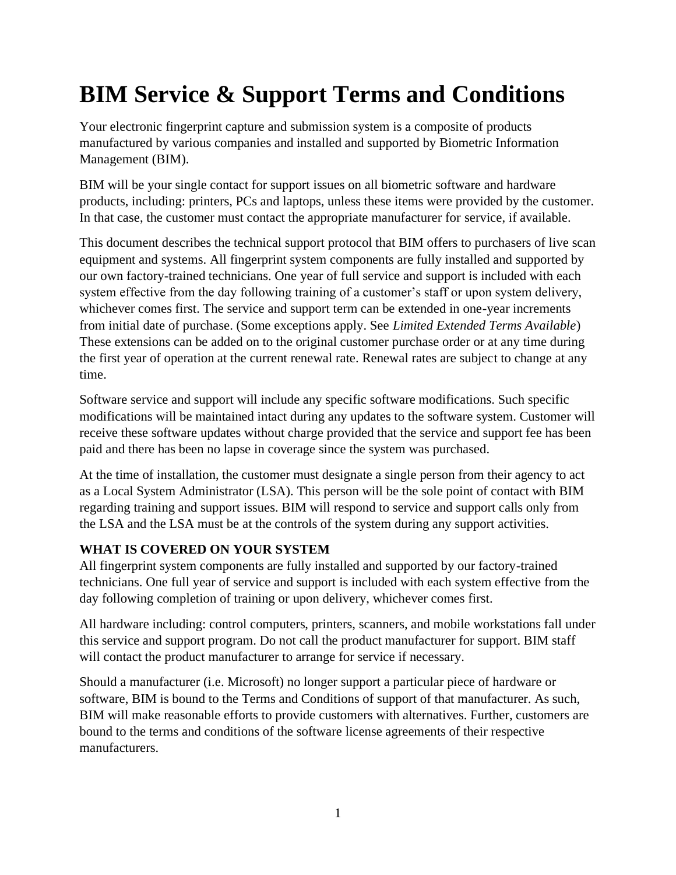# **BIM Service & Support Terms and Conditions**

Your electronic fingerprint capture and submission system is a composite of products manufactured by various companies and installed and supported by Biometric Information Management (BIM).

BIM will be your single contact for support issues on all biometric software and hardware products, including: printers, PCs and laptops, unless these items were provided by the customer. In that case, the customer must contact the appropriate manufacturer for service, if available.

This document describes the technical support protocol that BIM offers to purchasers of live scan equipment and systems. All fingerprint system components are fully installed and supported by our own factory-trained technicians. One year of full service and support is included with each system effective from the day following training of a customer's staff or upon system delivery, whichever comes first. The service and support term can be extended in one-year increments from initial date of purchase. (Some exceptions apply. See *Limited Extended Terms Available*) These extensions can be added on to the original customer purchase order or at any time during the first year of operation at the current renewal rate. Renewal rates are subject to change at any time.

Software service and support will include any specific software modifications. Such specific modifications will be maintained intact during any updates to the software system. Customer will receive these software updates without charge provided that the service and support fee has been paid and there has been no lapse in coverage since the system was purchased.

At the time of installation, the customer must designate a single person from their agency to act as a Local System Administrator (LSA). This person will be the sole point of contact with BIM regarding training and support issues. BIM will respond to service and support calls only from the LSA and the LSA must be at the controls of the system during any support activities.

# **WHAT IS COVERED ON YOUR SYSTEM**

All fingerprint system components are fully installed and supported by our factory-trained technicians. One full year of service and support is included with each system effective from the day following completion of training or upon delivery, whichever comes first.

All hardware including: control computers, printers, scanners, and mobile workstations fall under this service and support program. Do not call the product manufacturer for support. BIM staff will contact the product manufacturer to arrange for service if necessary.

Should a manufacturer (i.e. Microsoft) no longer support a particular piece of hardware or software, BIM is bound to the Terms and Conditions of support of that manufacturer. As such, BIM will make reasonable efforts to provide customers with alternatives. Further, customers are bound to the terms and conditions of the software license agreements of their respective manufacturers.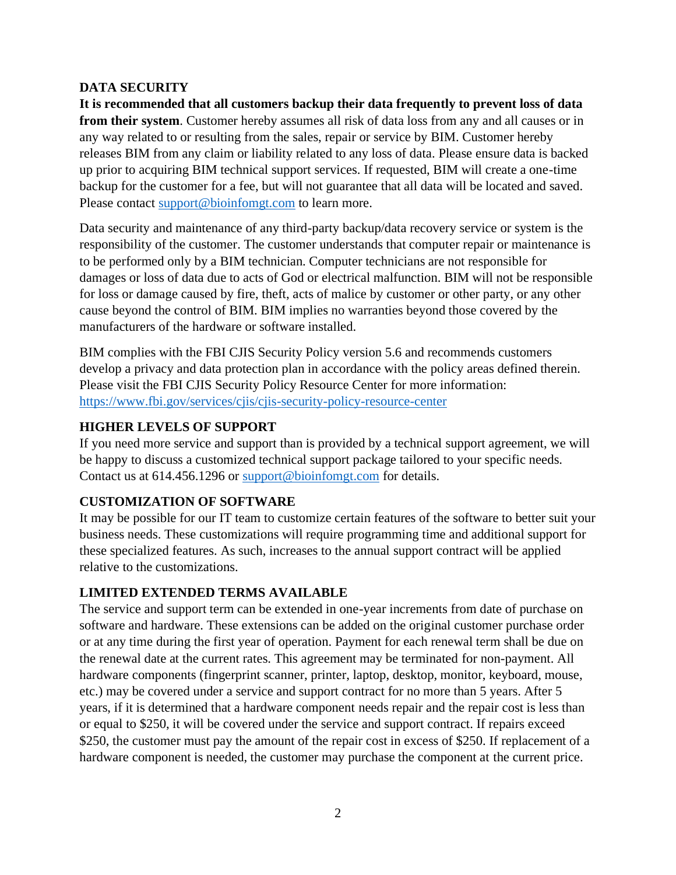# **DATA SECURITY**

**It is recommended that all customers backup their data frequently to prevent loss of data from their system**. Customer hereby assumes all risk of data loss from any and all causes or in any way related to or resulting from the sales, repair or service by BIM. Customer hereby releases BIM from any claim or liability related to any loss of data. Please ensure data is backed up prior to acquiring BIM technical support services. If requested, BIM will create a one-time backup for the customer for a fee, but will not guarantee that all data will be located and saved. Please contact [support@bioinfomgt.com](mailto:support@bioinfomgt.com) to learn more.

Data security and maintenance of any third-party backup/data recovery service or system is the responsibility of the customer. The customer understands that computer repair or maintenance is to be performed only by a BIM technician. Computer technicians are not responsible for damages or loss of data due to acts of God or electrical malfunction. BIM will not be responsible for loss or damage caused by fire, theft, acts of malice by customer or other party, or any other cause beyond the control of BIM. BIM implies no warranties beyond those covered by the manufacturers of the hardware or software installed.

BIM complies with the FBI CJIS Security Policy version 5.6 and recommends customers develop a privacy and data protection plan in accordance with the policy areas defined therein. Please visit the FBI CJIS Security Policy Resource Center for more information: <https://www.fbi.gov/services/cjis/cjis-security-policy-resource-center>

# **HIGHER LEVELS OF SUPPORT**

If you need more service and support than is provided by a technical support agreement, we will be happy to discuss a customized technical support package tailored to your specific needs. Contact us at 614.456.1296 or [support@bioinfomgt.com](mailto:support@bioinfomgt.com) for details.

# **CUSTOMIZATION OF SOFTWARE**

It may be possible for our IT team to customize certain features of the software to better suit your business needs. These customizations will require programming time and additional support for these specialized features. As such, increases to the annual support contract will be applied relative to the customizations.

# **LIMITED EXTENDED TERMS AVAILABLE**

The service and support term can be extended in one-year increments from date of purchase on software and hardware. These extensions can be added on the original customer purchase order or at any time during the first year of operation. Payment for each renewal term shall be due on the renewal date at the current rates. This agreement may be terminated for non-payment. All hardware components (fingerprint scanner, printer, laptop, desktop, monitor, keyboard, mouse, etc.) may be covered under a service and support contract for no more than 5 years. After 5 years, if it is determined that a hardware component needs repair and the repair cost is less than or equal to \$250, it will be covered under the service and support contract. If repairs exceed \$250, the customer must pay the amount of the repair cost in excess of \$250. If replacement of a hardware component is needed, the customer may purchase the component at the current price.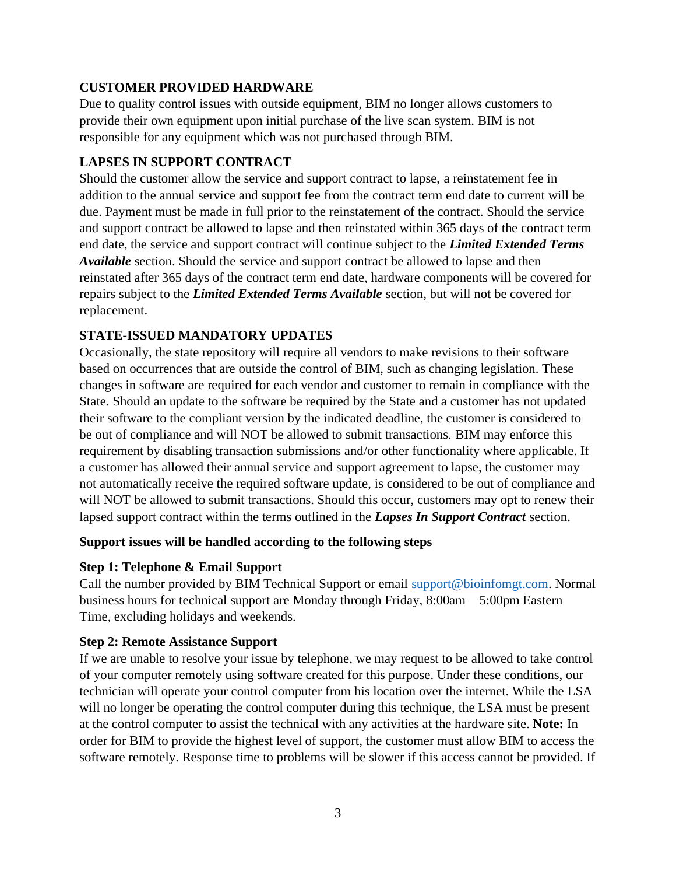# **CUSTOMER PROVIDED HARDWARE**

Due to quality control issues with outside equipment, BIM no longer allows customers to provide their own equipment upon initial purchase of the live scan system. BIM is not responsible for any equipment which was not purchased through BIM.

#### **LAPSES IN SUPPORT CONTRACT**

Should the customer allow the service and support contract to lapse, a reinstatement fee in addition to the annual service and support fee from the contract term end date to current will be due. Payment must be made in full prior to the reinstatement of the contract. Should the service and support contract be allowed to lapse and then reinstated within 365 days of the contract term end date, the service and support contract will continue subject to the *Limited Extended Terms Available* section. Should the service and support contract be allowed to lapse and then reinstated after 365 days of the contract term end date, hardware components will be covered for repairs subject to the *Limited Extended Terms Available* section, but will not be covered for replacement.

# **STATE-ISSUED MANDATORY UPDATES**

Occasionally, the state repository will require all vendors to make revisions to their software based on occurrences that are outside the control of BIM, such as changing legislation. These changes in software are required for each vendor and customer to remain in compliance with the State. Should an update to the software be required by the State and a customer has not updated their software to the compliant version by the indicated deadline, the customer is considered to be out of compliance and will NOT be allowed to submit transactions. BIM may enforce this requirement by disabling transaction submissions and/or other functionality where applicable. If a customer has allowed their annual service and support agreement to lapse, the customer may not automatically receive the required software update, is considered to be out of compliance and will NOT be allowed to submit transactions. Should this occur, customers may opt to renew their lapsed support contract within the terms outlined in the *Lapses In Support Contract* section.

#### **Support issues will be handled according to the following steps**

#### **Step 1: Telephone & Email Support**

Call the number provided by BIM Technical Support or email [support@bioinfomgt.com.](mailto:support@bioinfomgt.com) Normal business hours for technical support are Monday through Friday, 8:00am – 5:00pm Eastern Time, excluding holidays and weekends.

#### **Step 2: Remote Assistance Support**

If we are unable to resolve your issue by telephone, we may request to be allowed to take control of your computer remotely using software created for this purpose. Under these conditions, our technician will operate your control computer from his location over the internet. While the LSA will no longer be operating the control computer during this technique, the LSA must be present at the control computer to assist the technical with any activities at the hardware site. **Note:** In order for BIM to provide the highest level of support, the customer must allow BIM to access the software remotely. Response time to problems will be slower if this access cannot be provided. If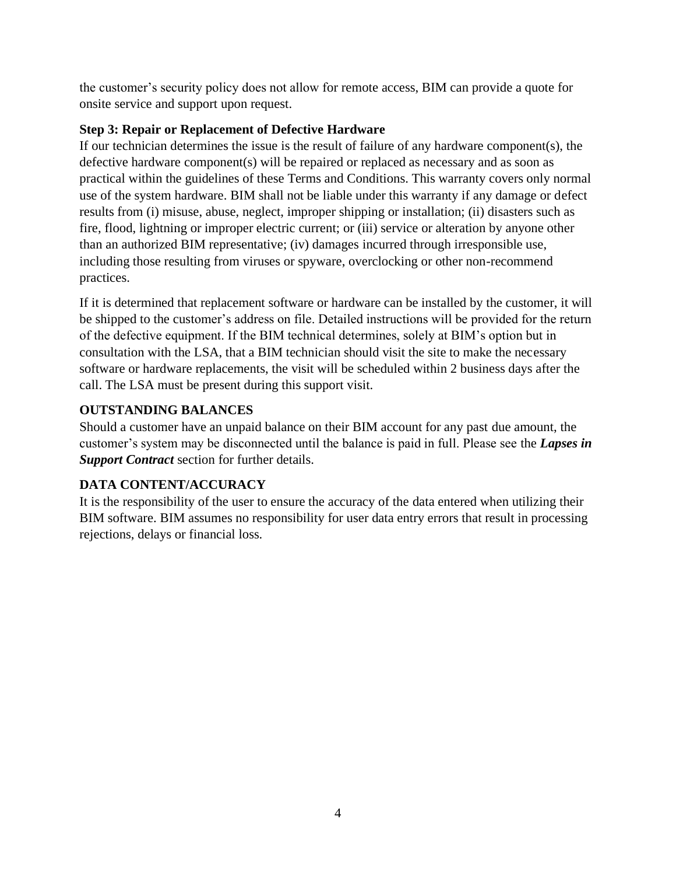the customer's security policy does not allow for remote access, BIM can provide a quote for onsite service and support upon request.

# **Step 3: Repair or Replacement of Defective Hardware**

If our technician determines the issue is the result of failure of any hardware component(s), the defective hardware component(s) will be repaired or replaced as necessary and as soon as practical within the guidelines of these Terms and Conditions. This warranty covers only normal use of the system hardware. BIM shall not be liable under this warranty if any damage or defect results from (i) misuse, abuse, neglect, improper shipping or installation; (ii) disasters such as fire, flood, lightning or improper electric current; or (iii) service or alteration by anyone other than an authorized BIM representative; (iv) damages incurred through irresponsible use, including those resulting from viruses or spyware, overclocking or other non-recommend practices.

If it is determined that replacement software or hardware can be installed by the customer, it will be shipped to the customer's address on file. Detailed instructions will be provided for the return of the defective equipment. If the BIM technical determines, solely at BIM's option but in consultation with the LSA, that a BIM technician should visit the site to make the necessary software or hardware replacements, the visit will be scheduled within 2 business days after the call. The LSA must be present during this support visit.

# **OUTSTANDING BALANCES**

Should a customer have an unpaid balance on their BIM account for any past due amount, the customer's system may be disconnected until the balance is paid in full. Please see the *Lapses in Support Contract* section for further details.

# **DATA CONTENT/ACCURACY**

It is the responsibility of the user to ensure the accuracy of the data entered when utilizing their BIM software. BIM assumes no responsibility for user data entry errors that result in processing rejections, delays or financial loss.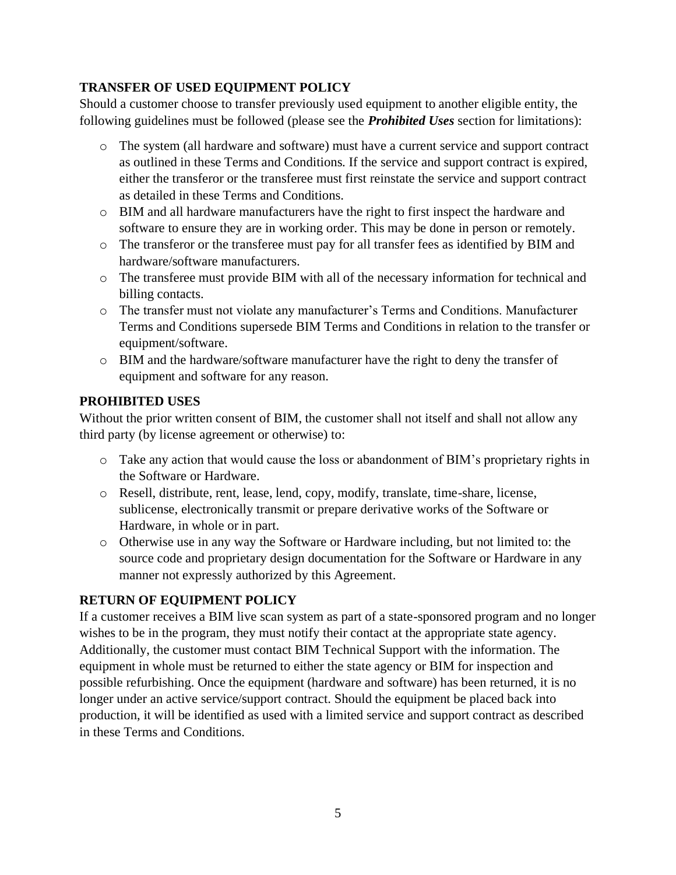# **TRANSFER OF USED EQUIPMENT POLICY**

Should a customer choose to transfer previously used equipment to another eligible entity, the following guidelines must be followed (please see the *Prohibited Uses* section for limitations):

- o The system (all hardware and software) must have a current service and support contract as outlined in these Terms and Conditions. If the service and support contract is expired, either the transferor or the transferee must first reinstate the service and support contract as detailed in these Terms and Conditions.
- o BIM and all hardware manufacturers have the right to first inspect the hardware and software to ensure they are in working order. This may be done in person or remotely.
- o The transferor or the transferee must pay for all transfer fees as identified by BIM and hardware/software manufacturers.
- o The transferee must provide BIM with all of the necessary information for technical and billing contacts.
- o The transfer must not violate any manufacturer's Terms and Conditions. Manufacturer Terms and Conditions supersede BIM Terms and Conditions in relation to the transfer or equipment/software.
- o BIM and the hardware/software manufacturer have the right to deny the transfer of equipment and software for any reason.

# **PROHIBITED USES**

Without the prior written consent of BIM, the customer shall not itself and shall not allow any third party (by license agreement or otherwise) to:

- o Take any action that would cause the loss or abandonment of BIM's proprietary rights in the Software or Hardware.
- o Resell, distribute, rent, lease, lend, copy, modify, translate, time-share, license, sublicense, electronically transmit or prepare derivative works of the Software or Hardware, in whole or in part.
- o Otherwise use in any way the Software or Hardware including, but not limited to: the source code and proprietary design documentation for the Software or Hardware in any manner not expressly authorized by this Agreement.

# **RETURN OF EQUIPMENT POLICY**

If a customer receives a BIM live scan system as part of a state-sponsored program and no longer wishes to be in the program, they must notify their contact at the appropriate state agency. Additionally, the customer must contact BIM Technical Support with the information. The equipment in whole must be returned to either the state agency or BIM for inspection and possible refurbishing. Once the equipment (hardware and software) has been returned, it is no longer under an active service/support contract. Should the equipment be placed back into production, it will be identified as used with a limited service and support contract as described in these Terms and Conditions.